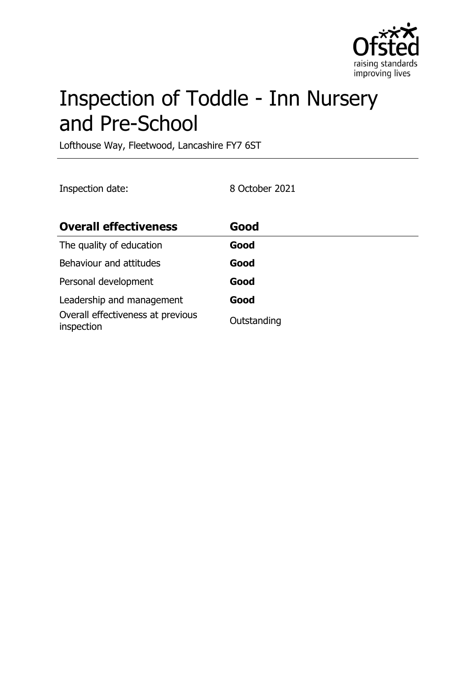

# Inspection of Toddle - Inn Nursery and Pre-School

Lofthouse Way, Fleetwood, Lancashire FY7 6ST

Inspection date: 8 October 2021

| <b>Overall effectiveness</b>                    | Good        |
|-------------------------------------------------|-------------|
| The quality of education                        | Good        |
| Behaviour and attitudes                         | Good        |
| Personal development                            | Good        |
| Leadership and management                       | Good        |
| Overall effectiveness at previous<br>inspection | Outstanding |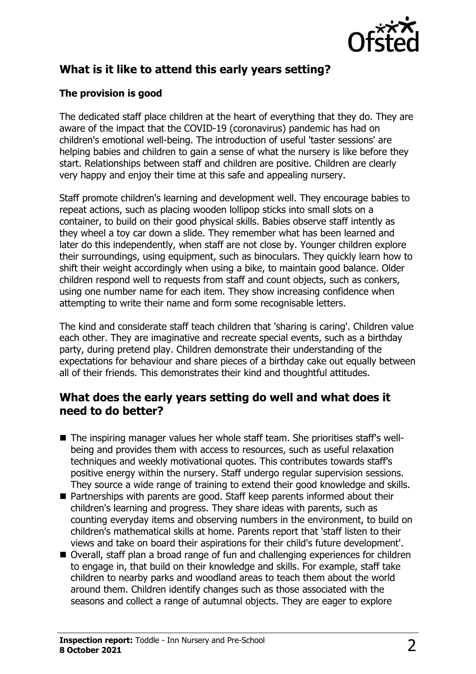

# **What is it like to attend this early years setting?**

#### **The provision is good**

The dedicated staff place children at the heart of everything that they do. They are aware of the impact that the COVID-19 (coronavirus) pandemic has had on children's emotional well-being. The introduction of useful 'taster sessions' are helping babies and children to gain a sense of what the nursery is like before they start. Relationships between staff and children are positive. Children are clearly very happy and enjoy their time at this safe and appealing nursery.

Staff promote children's learning and development well. They encourage babies to repeat actions, such as placing wooden lollipop sticks into small slots on a container, to build on their good physical skills. Babies observe staff intently as they wheel a toy car down a slide. They remember what has been learned and later do this independently, when staff are not close by. Younger children explore their surroundings, using equipment, such as binoculars. They quickly learn how to shift their weight accordingly when using a bike, to maintain good balance. Older children respond well to requests from staff and count objects, such as conkers, using one number name for each item. They show increasing confidence when attempting to write their name and form some recognisable letters.

The kind and considerate staff teach children that 'sharing is caring'. Children value each other. They are imaginative and recreate special events, such as a birthday party, during pretend play. Children demonstrate their understanding of the expectations for behaviour and share pieces of a birthday cake out equally between all of their friends. This demonstrates their kind and thoughtful attitudes.

## **What does the early years setting do well and what does it need to do better?**

- The inspiring manager values her whole staff team. She prioritises staff's wellbeing and provides them with access to resources, such as useful relaxation techniques and weekly motivational quotes. This contributes towards staff's positive energy within the nursery. Staff undergo regular supervision sessions. They source a wide range of training to extend their good knowledge and skills.
- Partnerships with parents are good. Staff keep parents informed about their children's learning and progress. They share ideas with parents, such as counting everyday items and observing numbers in the environment, to build on children's mathematical skills at home. Parents report that 'staff listen to their views and take on board their aspirations for their child's future development'.
- Overall, staff plan a broad range of fun and challenging experiences for children to engage in, that build on their knowledge and skills. For example, staff take children to nearby parks and woodland areas to teach them about the world around them. Children identify changes such as those associated with the seasons and collect a range of autumnal objects. They are eager to explore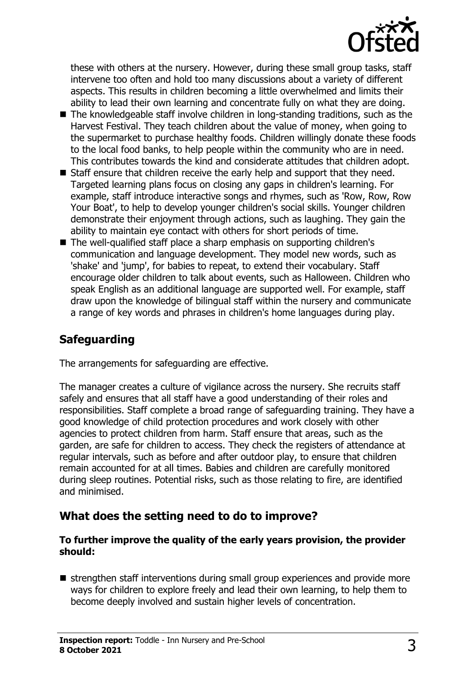

these with others at the nursery. However, during these small group tasks, staff intervene too often and hold too many discussions about a variety of different aspects. This results in children becoming a little overwhelmed and limits their ability to lead their own learning and concentrate fully on what they are doing.

- $\blacksquare$  The knowledgeable staff involve children in long-standing traditions, such as the Harvest Festival. They teach children about the value of money, when going to the supermarket to purchase healthy foods. Children willingly donate these foods to the local food banks, to help people within the community who are in need. This contributes towards the kind and considerate attitudes that children adopt.
- Staff ensure that children receive the early help and support that they need. Targeted learning plans focus on closing any gaps in children's learning. For example, staff introduce interactive songs and rhymes, such as 'Row, Row, Row Your Boat', to help to develop younger children's social skills. Younger children demonstrate their enjoyment through actions, such as laughing. They gain the ability to maintain eye contact with others for short periods of time.
- The well-qualified staff place a sharp emphasis on supporting children's communication and language development. They model new words, such as 'shake' and 'jump', for babies to repeat, to extend their vocabulary. Staff encourage older children to talk about events, such as Halloween. Children who speak English as an additional language are supported well. For example, staff draw upon the knowledge of bilingual staff within the nursery and communicate a range of key words and phrases in children's home languages during play.

## **Safeguarding**

The arrangements for safeguarding are effective.

The manager creates a culture of vigilance across the nursery. She recruits staff safely and ensures that all staff have a good understanding of their roles and responsibilities. Staff complete a broad range of safeguarding training. They have a good knowledge of child protection procedures and work closely with other agencies to protect children from harm. Staff ensure that areas, such as the garden, are safe for children to access. They check the registers of attendance at regular intervals, such as before and after outdoor play, to ensure that children remain accounted for at all times. Babies and children are carefully monitored during sleep routines. Potential risks, such as those relating to fire, are identified and minimised.

## **What does the setting need to do to improve?**

#### **To further improve the quality of the early years provision, the provider should:**

 $\blacksquare$  strengthen staff interventions during small group experiences and provide more ways for children to explore freely and lead their own learning, to help them to become deeply involved and sustain higher levels of concentration.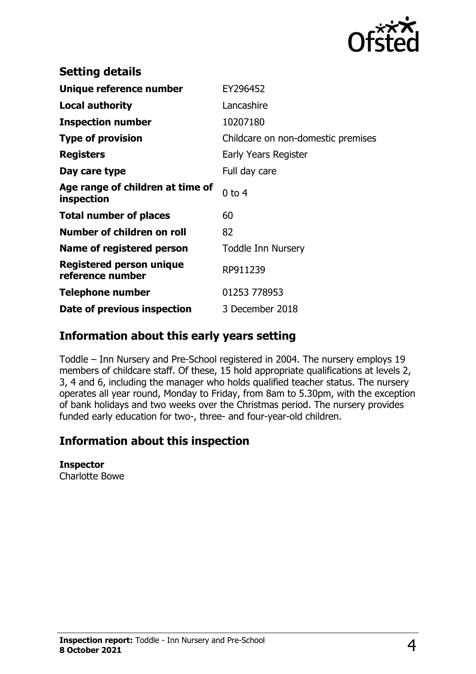

| EY296452                           |
|------------------------------------|
| Lancashire                         |
| 10207180                           |
| Childcare on non-domestic premises |
| Early Years Register               |
| Full day care                      |
| $0$ to 4                           |
| 60                                 |
| 82                                 |
| <b>Toddle Inn Nursery</b>          |
| RP911239                           |
| 01253 778953                       |
| 3 December 2018                    |
|                                    |

## **Information about this early years setting**

Toddle – Inn Nursery and Pre-School registered in 2004. The nursery employs 19 members of childcare staff. Of these, 15 hold appropriate qualifications at levels 2, 3, 4 and 6, including the manager who holds qualified teacher status. The nursery operates all year round, Monday to Friday, from 8am to 5.30pm, with the exception of bank holidays and two weeks over the Christmas period. The nursery provides funded early education for two-, three- and four-year-old children.

## **Information about this inspection**

**Inspector**

Charlotte Bowe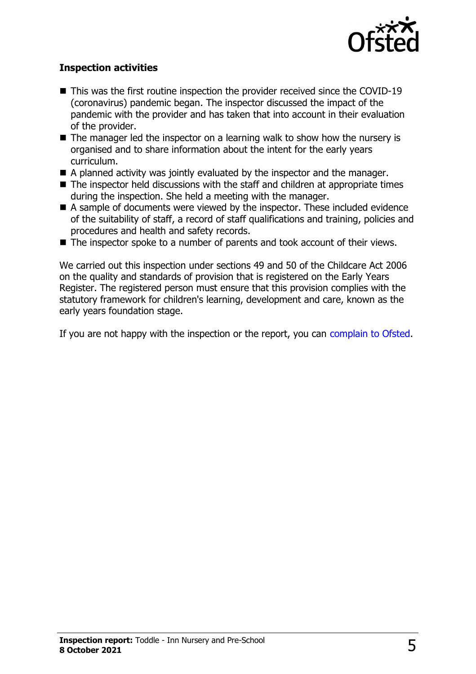

#### **Inspection activities**

- $\blacksquare$  This was the first routine inspection the provider received since the COVID-19 (coronavirus) pandemic began. The inspector discussed the impact of the pandemic with the provider and has taken that into account in their evaluation of the provider.
- $\blacksquare$  The manager led the inspector on a learning walk to show how the nursery is organised and to share information about the intent for the early years curriculum.
- $\blacksquare$  A planned activity was jointly evaluated by the inspector and the manager.
- $\blacksquare$  The inspector held discussions with the staff and children at appropriate times during the inspection. She held a meeting with the manager.
- $\blacksquare$  A sample of documents were viewed by the inspector. These included evidence of the suitability of staff, a record of staff qualifications and training, policies and procedures and health and safety records.
- $\blacksquare$  The inspector spoke to a number of parents and took account of their views.

We carried out this inspection under sections 49 and 50 of the Childcare Act 2006 on the quality and standards of provision that is registered on the Early Years Register. The registered person must ensure that this provision complies with the statutory framework for children's learning, development and care, known as the early years foundation stage.

If you are not happy with the inspection or the report, you can [complain to Ofsted](http://www.gov.uk/complain-ofsted-report).